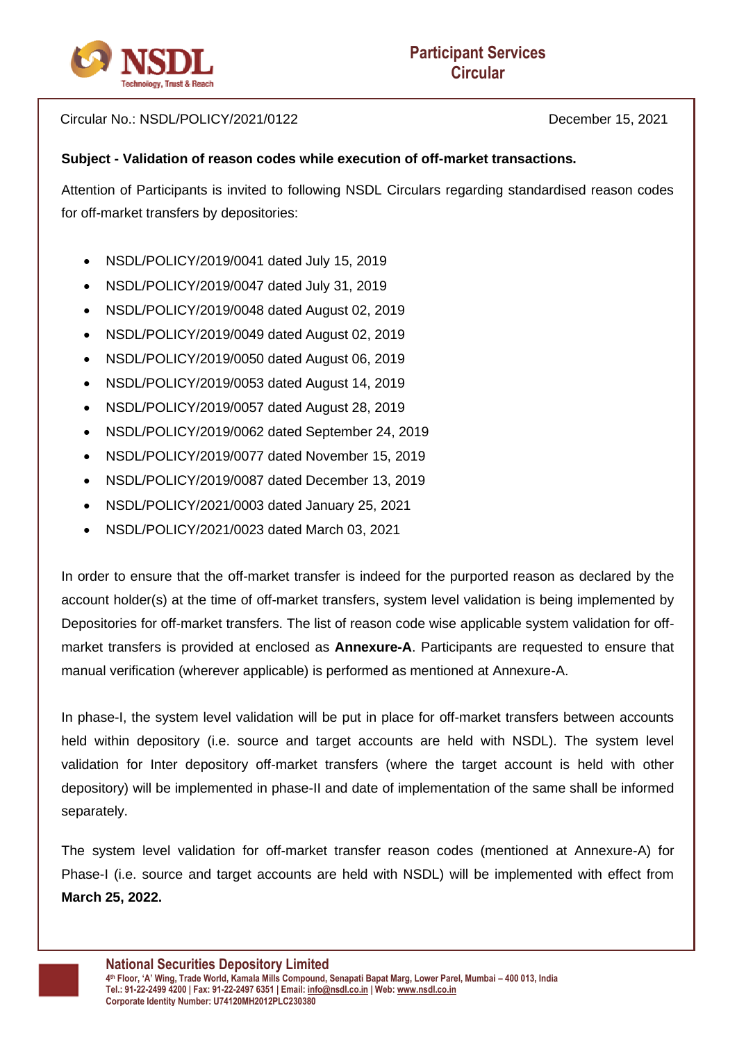

Circular No.: NSDL/POLICY/2021/0122 December 15, 2021

## **Subject - Validation of reason codes while execution of off-market transactions.**

Attention of Participants is invited to following NSDL Circulars regarding standardised reason codes for off-market transfers by depositories:

- NSDL/POLICY/2019/0041 dated July 15, 2019
- NSDL/POLICY/2019/0047 dated July 31, 2019
- NSDL/POLICY/2019/0048 dated August 02, 2019
- NSDL/POLICY/2019/0049 dated August 02, 2019
- NSDL/POLICY/2019/0050 dated August 06, 2019
- NSDL/POLICY/2019/0053 dated August 14, 2019
- NSDL/POLICY/2019/0057 dated August 28, 2019
- NSDL/POLICY/2019/0062 dated September 24, 2019
- NSDL/POLICY/2019/0077 dated November 15, 2019
- NSDL/POLICY/2019/0087 dated December 13, 2019
- NSDL/POLICY/2021/0003 dated January 25, 2021
- NSDL/POLICY/2021/0023 dated March 03, 2021

In order to ensure that the off-market transfer is indeed for the purported reason as declared by the account holder(s) at the time of off-market transfers, system level validation is being implemented by Depositories for off-market transfers. The list of reason code wise applicable system validation for offmarket transfers is provided at enclosed as **Annexure-A**. Participants are requested to ensure that manual verification (wherever applicable) is performed as mentioned at Annexure-A.

In phase-I, the system level validation will be put in place for off-market transfers between accounts held within depository (i.e. source and target accounts are held with NSDL). The system level validation for Inter depository off-market transfers (where the target account is held with other depository) will be implemented in phase-II and date of implementation of the same shall be informed separately.

The system level validation for off-market transfer reason codes (mentioned at Annexure-A) for Phase-I (i.e. source and target accounts are held with NSDL) will be implemented with effect from **March 25, 2022.**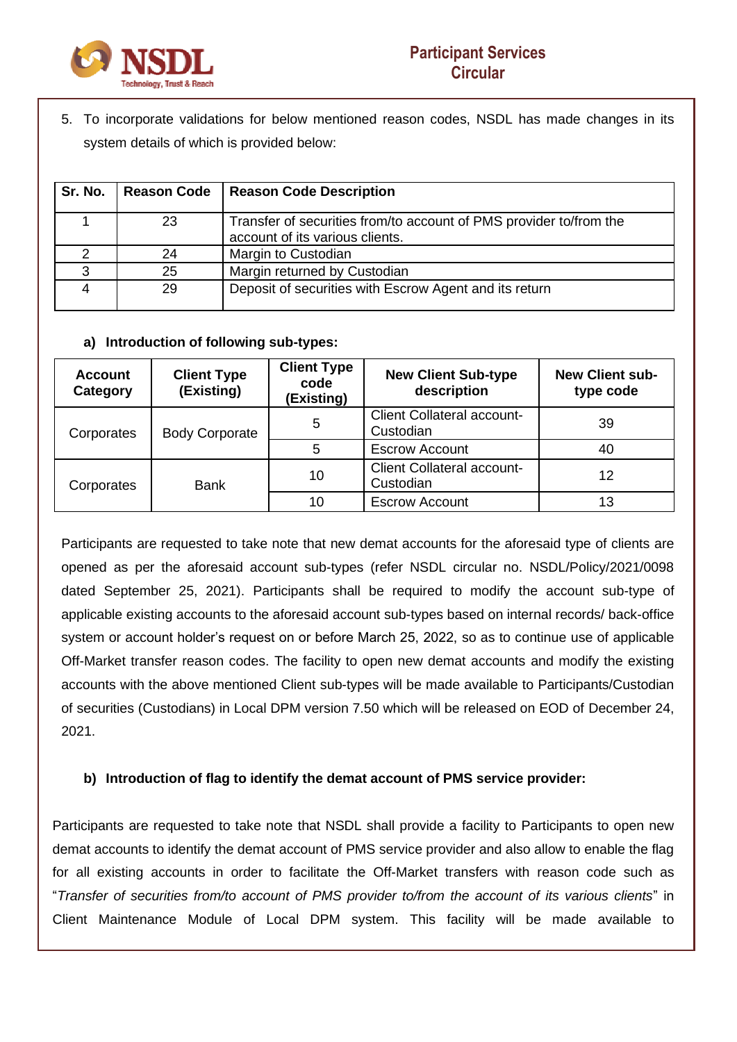

5. To incorporate validations for below mentioned reason codes, NSDL has made changes in its system details of which is provided below:

| Sr. No. | <b>Reason Code</b> | <b>Reason Code Description</b>                                                                        |
|---------|--------------------|-------------------------------------------------------------------------------------------------------|
|         | 23                 | Transfer of securities from/to account of PMS provider to/from the<br>account of its various clients. |
|         | 24                 | Margin to Custodian                                                                                   |
| ว       | 25                 | Margin returned by Custodian                                                                          |
|         | 29                 | Deposit of securities with Escrow Agent and its return                                                |

## **a) Introduction of following sub-types:**

| <b>Account</b><br>Category | <b>Client Type</b><br>(Existing) | <b>Client Type</b><br>code<br>(Existing) | <b>New Client Sub-type</b><br>description      | <b>New Client sub-</b><br>type code |
|----------------------------|----------------------------------|------------------------------------------|------------------------------------------------|-------------------------------------|
| Corporates                 | <b>Body Corporate</b>            | 5                                        | <b>Client Collateral account-</b><br>Custodian | 39                                  |
|                            |                                  | 5                                        | <b>Escrow Account</b>                          | 40                                  |
| Corporates                 | Bank                             | 10                                       | Client Collateral account-<br>Custodian        | 12                                  |
|                            |                                  | 10                                       | <b>Escrow Account</b>                          | 13                                  |

Participants are requested to take note that new demat accounts for the aforesaid type of clients are opened as per the aforesaid account sub-types (refer NSDL circular no. NSDL/Policy/2021/0098 dated September 25, 2021). Participants shall be required to modify the account sub-type of applicable existing accounts to the aforesaid account sub-types based on internal records/ back-office system or account holder's request on or before March 25, 2022, so as to continue use of applicable Off-Market transfer reason codes. The facility to open new demat accounts and modify the existing accounts with the above mentioned Client sub-types will be made available to Participants/Custodian of securities (Custodians) in Local DPM version 7.50 which will be released on EOD of December 24, 2021.

## **b) Introduction of flag to identify the demat account of PMS service provider:**

Participants are requested to take note that NSDL shall provide a facility to Participants to open new demat accounts to identify the demat account of PMS service provider and also allow to enable the flag for all existing accounts in order to facilitate the Off-Market transfers with reason code such as "*Transfer of securities from/to account of PMS provider to/from the account of its various clients*" in Client Maintenance Module of Local DPM system. This facility will be made available to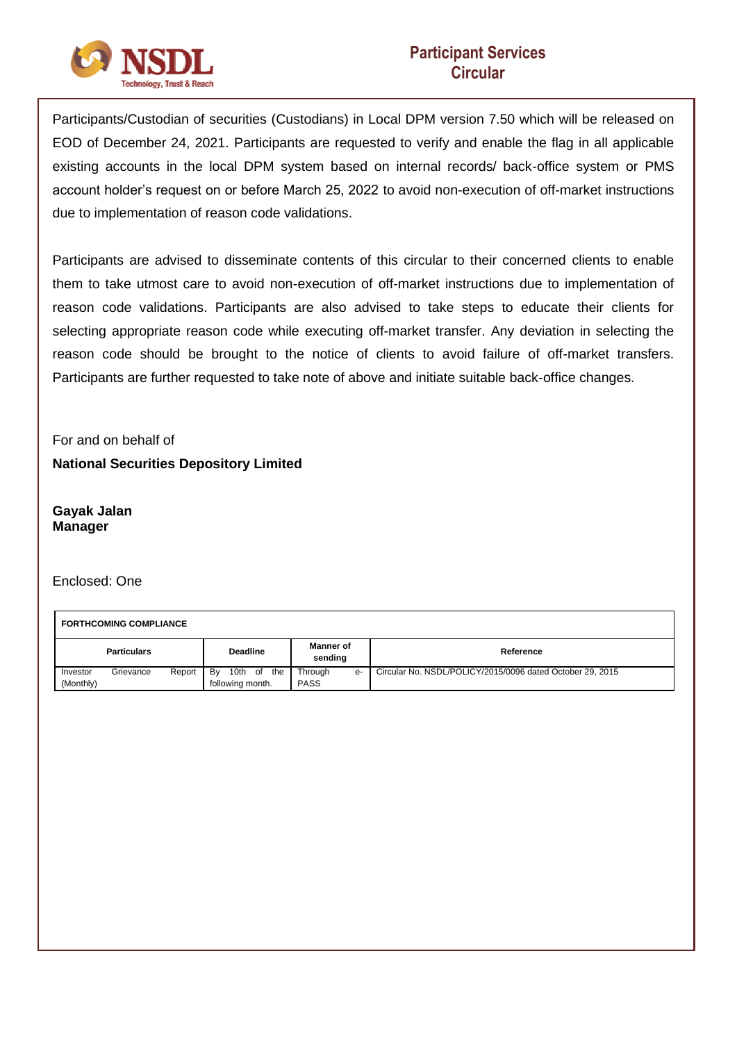

Participants/Custodian of securities (Custodians) in Local DPM version 7.50 which will be released on EOD of December 24, 2021. Participants are requested to verify and enable the flag in all applicable existing accounts in the local DPM system based on internal records/ back-office system or PMS account holder's request on or before March 25, 2022 to avoid non-execution of off-market instructions due to implementation of reason code validations.

Participants are advised to disseminate contents of this circular to their concerned clients to enable them to take utmost care to avoid non-execution of off-market instructions due to implementation of reason code validations. Participants are also advised to take steps to educate their clients for selecting appropriate reason code while executing off-market transfer. Any deviation in selecting the reason code should be brought to the notice of clients to avoid failure of off-market transfers. Participants are further requested to take note of above and initiate suitable back-office changes.

For and on behalf of **National Securities Depository Limited**

**Gayak Jalan Manager**

Enclosed: One

 $\overline{\Gamma}$ 

| <b>FORTHCOMING COMPLIANCE</b> |           |                 |                                             |                        |           |                                                           |
|-------------------------------|-----------|-----------------|---------------------------------------------|------------------------|-----------|-----------------------------------------------------------|
| <b>Particulars</b>            |           | <b>Deadline</b> | <b>Manner of</b><br>sendina                 |                        | Reference |                                                           |
| Investor<br>(Monthly)         | Grievance | Report          | 10th<br>Bv<br>the<br>of<br>following month. | Through<br><b>PASS</b> | e-        | Circular No. NSDL/POLICY/2015/0096 dated October 29, 2015 |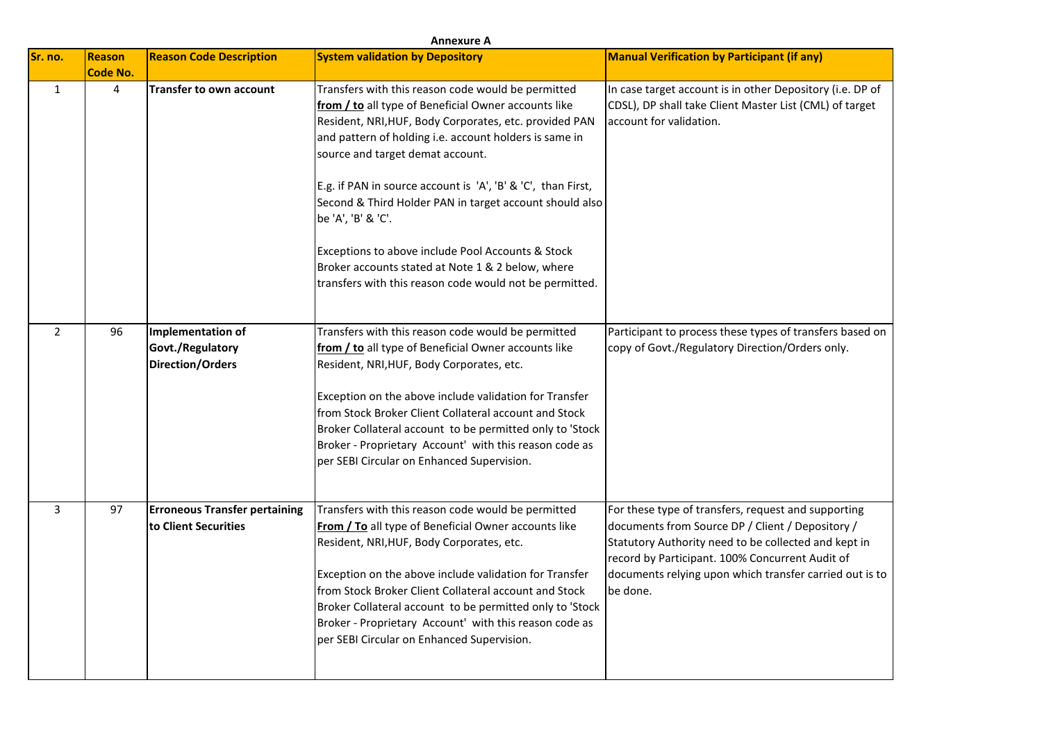| <b>Annexure A</b> |                           |                                                                         |                                                                                                                                                                                                                                                                                                                                                                                                                                                                                                                                                                                          |                                                                                                                                                                                                                                                                                           |  |
|-------------------|---------------------------|-------------------------------------------------------------------------|------------------------------------------------------------------------------------------------------------------------------------------------------------------------------------------------------------------------------------------------------------------------------------------------------------------------------------------------------------------------------------------------------------------------------------------------------------------------------------------------------------------------------------------------------------------------------------------|-------------------------------------------------------------------------------------------------------------------------------------------------------------------------------------------------------------------------------------------------------------------------------------------|--|
| Sr. no.           | <b>Reason</b><br>Code No. | <b>Reason Code Description</b>                                          | <b>System validation by Depository</b>                                                                                                                                                                                                                                                                                                                                                                                                                                                                                                                                                   | <b>Manual Verification by Participant (if any)</b>                                                                                                                                                                                                                                        |  |
| $\mathbf{1}$      | $\overline{4}$            | <b>Transfer to own account</b>                                          | Transfers with this reason code would be permitted<br>from / to all type of Beneficial Owner accounts like<br>Resident, NRI, HUF, Body Corporates, etc. provided PAN<br>and pattern of holding i.e. account holders is same in<br>source and target demat account.<br>E.g. if PAN in source account is 'A', 'B' & 'C', than First,<br>Second & Third Holder PAN in target account should also<br>be 'A', 'B' & 'C'.<br>Exceptions to above include Pool Accounts & Stock<br>Broker accounts stated at Note 1 & 2 below, where<br>transfers with this reason code would not be permitted. | In case target account is in other Depository (i.e. DP of<br>CDSL), DP shall take Client Master List (CML) of target<br>account for validation.                                                                                                                                           |  |
| 2                 | 96                        | <b>Implementation of</b><br>Govt./Regulatory<br><b>Direction/Orders</b> | Transfers with this reason code would be permitted<br>from / to all type of Beneficial Owner accounts like<br>Resident, NRI, HUF, Body Corporates, etc.<br>Exception on the above include validation for Transfer<br>from Stock Broker Client Collateral account and Stock<br>Broker Collateral account to be permitted only to 'Stock<br>Broker - Proprietary Account' with this reason code as<br>per SEBI Circular on Enhanced Supervision.                                                                                                                                           | Participant to process these types of transfers based on<br>copy of Govt./Regulatory Direction/Orders only.                                                                                                                                                                               |  |
| 3                 | 97                        | <b>Erroneous Transfer pertaining</b><br>to Client Securities            | Transfers with this reason code would be permitted<br>From / To all type of Beneficial Owner accounts like<br>Resident, NRI, HUF, Body Corporates, etc.<br>Exception on the above include validation for Transfer<br>from Stock Broker Client Collateral account and Stock<br>Broker Collateral account to be permitted only to 'Stock<br>Broker - Proprietary Account' with this reason code as<br>per SEBI Circular on Enhanced Supervision.                                                                                                                                           | For these type of transfers, request and supporting<br>documents from Source DP / Client / Depository /<br>Statutory Authority need to be collected and kept in<br>record by Participant. 100% Concurrent Audit of<br>documents relying upon which transfer carried out is to<br>be done. |  |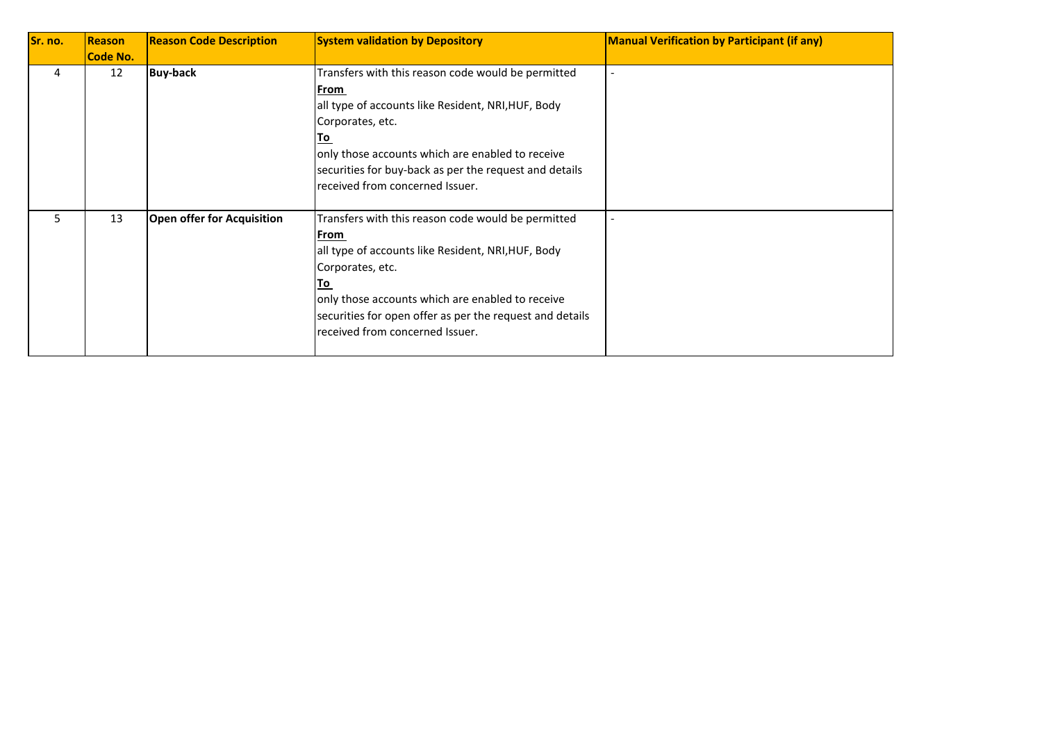| Sr. no. | Reason   | <b>Reason Code Description</b>    | <b>System validation by Depository</b>                   | <b>Manual Verification by Participant (if any)</b> |
|---------|----------|-----------------------------------|----------------------------------------------------------|----------------------------------------------------|
|         | Code No. |                                   |                                                          |                                                    |
| 4       | 12       | <b>Buy-back</b>                   | Transfers with this reason code would be permitted       |                                                    |
|         |          |                                   | From                                                     |                                                    |
|         |          |                                   | all type of accounts like Resident, NRI, HUF, Body       |                                                    |
|         |          |                                   | Corporates, etc.                                         |                                                    |
|         |          |                                   | <u>To</u>                                                |                                                    |
|         |          |                                   | only those accounts which are enabled to receive         |                                                    |
|         |          |                                   | securities for buy-back as per the request and details   |                                                    |
|         |          |                                   | received from concerned Issuer.                          |                                                    |
|         |          |                                   |                                                          |                                                    |
| 5       | 13       | <b>Open offer for Acquisition</b> | Transfers with this reason code would be permitted       |                                                    |
|         |          |                                   | From                                                     |                                                    |
|         |          |                                   | all type of accounts like Resident, NRI, HUF, Body       |                                                    |
|         |          |                                   | Corporates, etc.                                         |                                                    |
|         |          |                                   | <u>To</u>                                                |                                                    |
|         |          |                                   | only those accounts which are enabled to receive         |                                                    |
|         |          |                                   | securities for open offer as per the request and details |                                                    |
|         |          |                                   | received from concerned Issuer.                          |                                                    |
|         |          |                                   |                                                          |                                                    |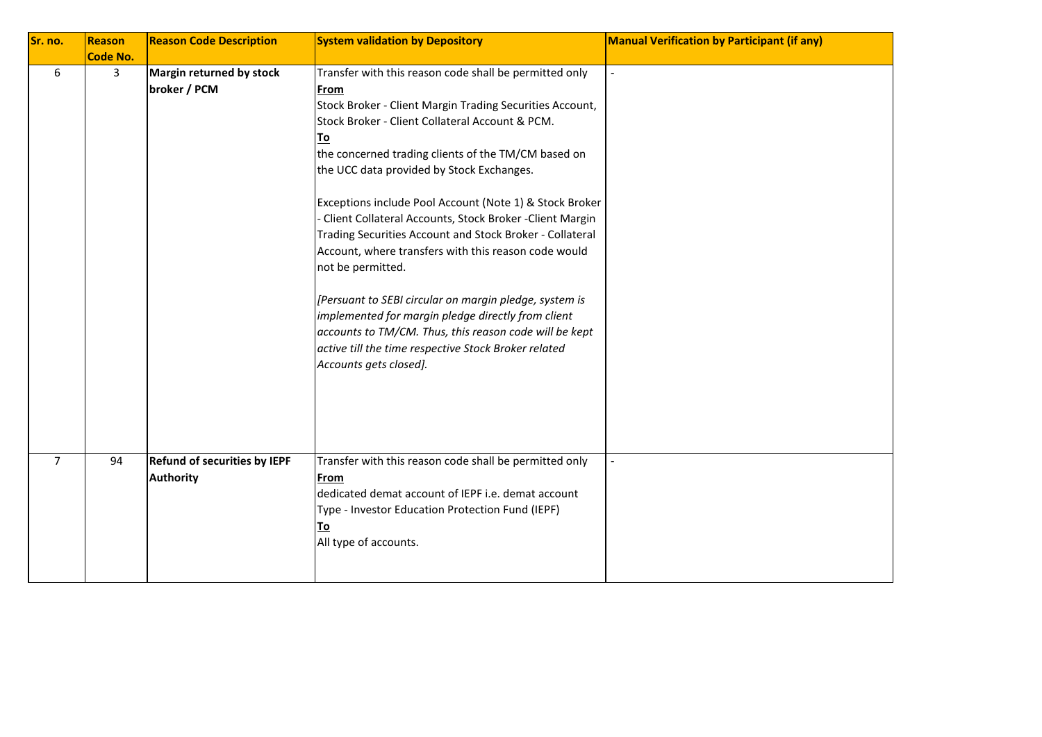| Sr. no.        | <b>Reason</b>   | <b>Reason Code Description</b>                          | <b>System validation by Depository</b>                                                                                                                                                                                                                                                                                                                                                                                                                                                                                                                                                                                                                                                                                                                                                                              | <b>Manual Verification by Participant (if any)</b> |
|----------------|-----------------|---------------------------------------------------------|---------------------------------------------------------------------------------------------------------------------------------------------------------------------------------------------------------------------------------------------------------------------------------------------------------------------------------------------------------------------------------------------------------------------------------------------------------------------------------------------------------------------------------------------------------------------------------------------------------------------------------------------------------------------------------------------------------------------------------------------------------------------------------------------------------------------|----------------------------------------------------|
|                | <b>Code No.</b> |                                                         |                                                                                                                                                                                                                                                                                                                                                                                                                                                                                                                                                                                                                                                                                                                                                                                                                     |                                                    |
| 6              | 3               | Margin returned by stock<br>broker / PCM                | Transfer with this reason code shall be permitted only<br>From<br>Stock Broker - Client Margin Trading Securities Account,<br>Stock Broker - Client Collateral Account & PCM.<br>To<br>the concerned trading clients of the TM/CM based on<br>the UCC data provided by Stock Exchanges.<br>Exceptions include Pool Account (Note 1) & Stock Broker<br>Client Collateral Accounts, Stock Broker - Client Margin<br>Trading Securities Account and Stock Broker - Collateral<br>Account, where transfers with this reason code would<br>not be permitted.<br>[Persuant to SEBI circular on margin pledge, system is<br>implemented for margin pledge directly from client<br>accounts to TM/CM. Thus, this reason code will be kept<br>active till the time respective Stock Broker related<br>Accounts gets closed]. |                                                    |
| $\overline{7}$ | 94              | <b>Refund of securities by IEPF</b><br><b>Authority</b> | Transfer with this reason code shall be permitted only<br><b>From</b><br>dedicated demat account of IEPF i.e. demat account<br>Type - Investor Education Protection Fund (IEPF)<br>To<br>All type of accounts.                                                                                                                                                                                                                                                                                                                                                                                                                                                                                                                                                                                                      |                                                    |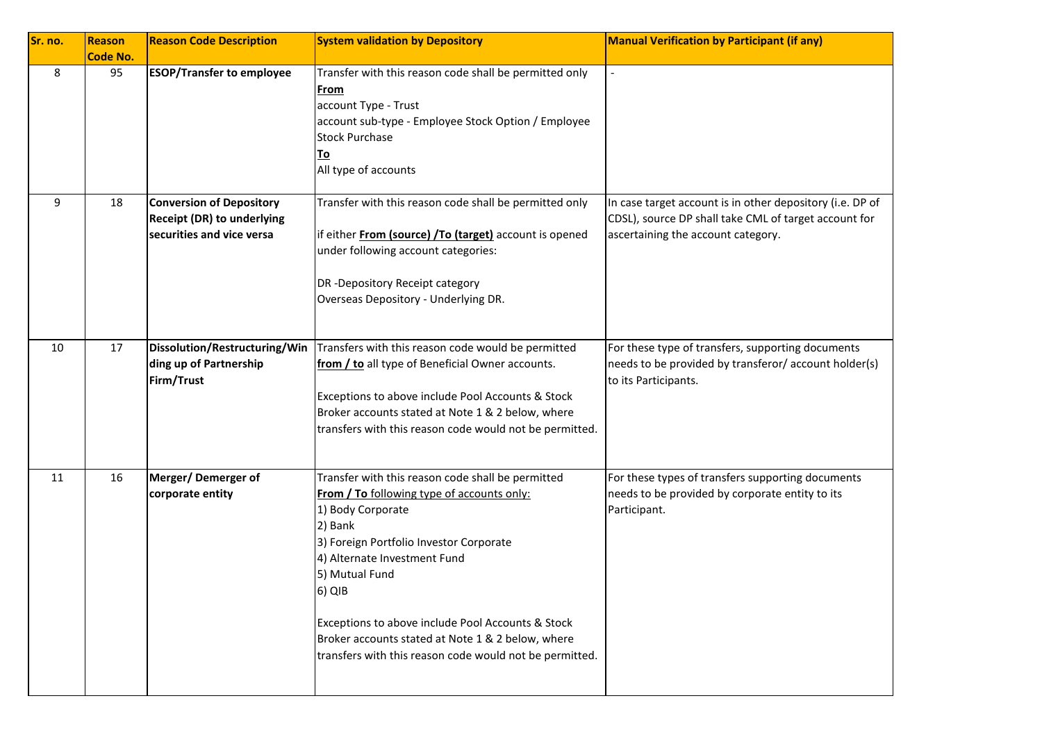| Sr. no. | Reason<br><b>Code No.</b> | <b>Reason Code Description</b>                                                                    | <b>System validation by Depository</b>                                                                                                                                                                                                                                                                                                                                                                             | <b>Manual Verification by Participant (if any)</b>                                                                                                       |
|---------|---------------------------|---------------------------------------------------------------------------------------------------|--------------------------------------------------------------------------------------------------------------------------------------------------------------------------------------------------------------------------------------------------------------------------------------------------------------------------------------------------------------------------------------------------------------------|----------------------------------------------------------------------------------------------------------------------------------------------------------|
| 8       | 95                        | <b>ESOP/Transfer to employee</b>                                                                  | Transfer with this reason code shall be permitted only<br>From<br>account Type - Trust<br>account sub-type - Employee Stock Option / Employee<br><b>Stock Purchase</b><br><u>To</u><br>All type of accounts                                                                                                                                                                                                        |                                                                                                                                                          |
| 9       | 18                        | <b>Conversion of Depository</b><br><b>Receipt (DR) to underlying</b><br>securities and vice versa | Transfer with this reason code shall be permitted only<br>if either From (source) /To (target) account is opened<br>under following account categories:<br>DR -Depository Receipt category<br>Overseas Depository - Underlying DR.                                                                                                                                                                                 | In case target account is in other depository (i.e. DP of<br>CDSL), source DP shall take CML of target account for<br>ascertaining the account category. |
| 10      | 17                        | Dissolution/Restructuring/Win<br>ding up of Partnership<br>Firm/Trust                             | Transfers with this reason code would be permitted<br>from / to all type of Beneficial Owner accounts.<br>Exceptions to above include Pool Accounts & Stock<br>Broker accounts stated at Note 1 & 2 below, where<br>transfers with this reason code would not be permitted.                                                                                                                                        | For these type of transfers, supporting documents<br>needs to be provided by transferor/account holder(s)<br>to its Participants.                        |
| 11      | 16                        | Merger/Demerger of<br>corporate entity                                                            | Transfer with this reason code shall be permitted<br><b>From / To following type of accounts only:</b><br>1) Body Corporate<br>2) Bank<br>3) Foreign Portfolio Investor Corporate<br>4) Alternate Investment Fund<br>5) Mutual Fund<br>6) QIB<br>Exceptions to above include Pool Accounts & Stock<br>Broker accounts stated at Note 1 & 2 below, where<br>transfers with this reason code would not be permitted. | For these types of transfers supporting documents<br>needs to be provided by corporate entity to its<br>Participant.                                     |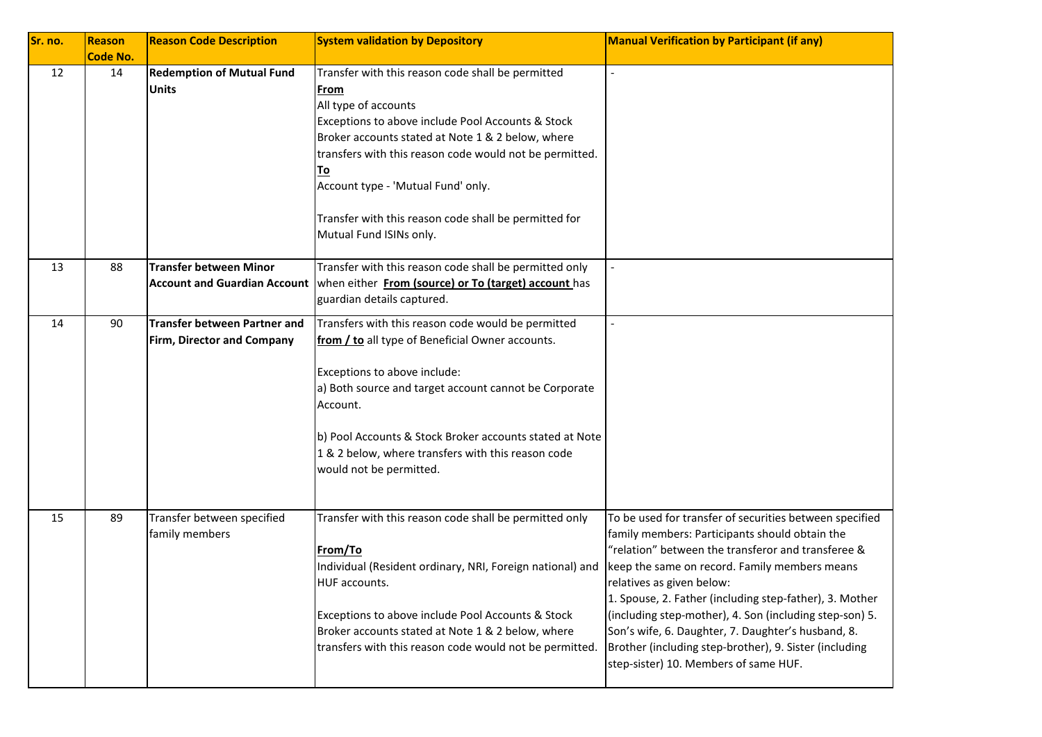| Sr. no. | Reason<br><b>Code No.</b> | <b>Reason Code Description</b>                                       | <b>System validation by Depository</b>                                                                                                                                                                                                                                                                                                                                                 | <b>Manual Verification by Participant (if any)</b>                                                                                                                                                                                                                                                                                                                                                                                                                                                                           |
|---------|---------------------------|----------------------------------------------------------------------|----------------------------------------------------------------------------------------------------------------------------------------------------------------------------------------------------------------------------------------------------------------------------------------------------------------------------------------------------------------------------------------|------------------------------------------------------------------------------------------------------------------------------------------------------------------------------------------------------------------------------------------------------------------------------------------------------------------------------------------------------------------------------------------------------------------------------------------------------------------------------------------------------------------------------|
| 12      | 14                        | <b>Redemption of Mutual Fund</b><br><b>Units</b>                     | Transfer with this reason code shall be permitted<br>From<br>All type of accounts<br>Exceptions to above include Pool Accounts & Stock<br>Broker accounts stated at Note 1 & 2 below, where<br>transfers with this reason code would not be permitted.<br>To<br>Account type - 'Mutual Fund' only.<br>Transfer with this reason code shall be permitted for<br>Mutual Fund ISINs only. |                                                                                                                                                                                                                                                                                                                                                                                                                                                                                                                              |
| 13      | 88                        | <b>Transfer between Minor</b><br><b>Account and Guardian Account</b> | Transfer with this reason code shall be permitted only<br>when either From (source) or To (target) account has<br>guardian details captured.                                                                                                                                                                                                                                           |                                                                                                                                                                                                                                                                                                                                                                                                                                                                                                                              |
| 14      | 90                        | <b>Transfer between Partner and</b><br>Firm, Director and Company    | Transfers with this reason code would be permitted<br>from / to all type of Beneficial Owner accounts.<br>Exceptions to above include:<br>a) Both source and target account cannot be Corporate<br>Account.<br>b) Pool Accounts & Stock Broker accounts stated at Note<br>1 & 2 below, where transfers with this reason code<br>would not be permitted.                                |                                                                                                                                                                                                                                                                                                                                                                                                                                                                                                                              |
| 15      | 89                        | Transfer between specified<br>family members                         | Transfer with this reason code shall be permitted only<br>From/To<br>Individual (Resident ordinary, NRI, Foreign national) and<br>HUF accounts.<br>Exceptions to above include Pool Accounts & Stock<br>Broker accounts stated at Note 1 & 2 below, where<br>transfers with this reason code would not be permitted.                                                                   | To be used for transfer of securities between specified<br>family members: Participants should obtain the<br>"relation" between the transferor and transferee &<br>keep the same on record. Family members means<br>relatives as given below:<br>1. Spouse, 2. Father (including step-father), 3. Mother<br>(including step-mother), 4. Son (including step-son) 5.<br>Son's wife, 6. Daughter, 7. Daughter's husband, 8.<br>Brother (including step-brother), 9. Sister (including<br>step-sister) 10. Members of same HUF. |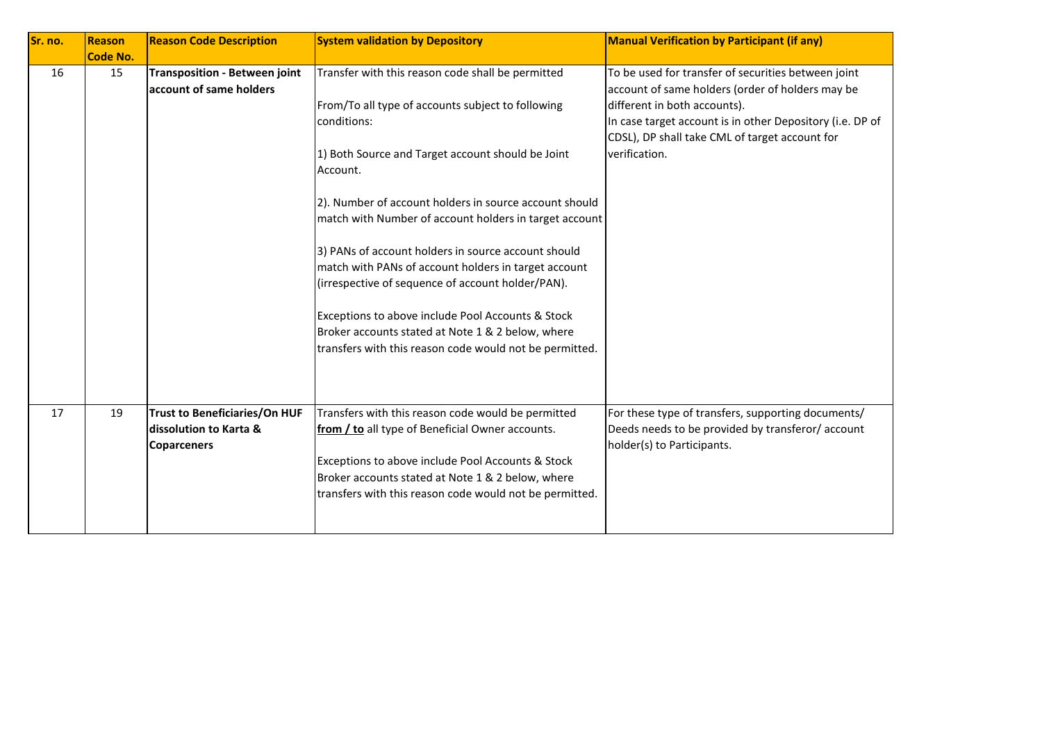| Sr. no. | Reason          | <b>Reason Code Description</b>                                                       | <b>System validation by Depository</b>                                                                                                                                                                                                                                                                                                                                                                                                                                                                                                                                                                                                              | <b>Manual Verification by Participant (if any)</b>                                                                                                                                                                                                                      |
|---------|-----------------|--------------------------------------------------------------------------------------|-----------------------------------------------------------------------------------------------------------------------------------------------------------------------------------------------------------------------------------------------------------------------------------------------------------------------------------------------------------------------------------------------------------------------------------------------------------------------------------------------------------------------------------------------------------------------------------------------------------------------------------------------------|-------------------------------------------------------------------------------------------------------------------------------------------------------------------------------------------------------------------------------------------------------------------------|
|         | <b>Code No.</b> |                                                                                      |                                                                                                                                                                                                                                                                                                                                                                                                                                                                                                                                                                                                                                                     |                                                                                                                                                                                                                                                                         |
| 16      | 15              | <b>Transposition - Between joint</b><br>account of same holders                      | Transfer with this reason code shall be permitted<br>From/To all type of accounts subject to following<br>conditions:<br>1) Both Source and Target account should be Joint<br>Account.<br>2). Number of account holders in source account should<br>match with Number of account holders in target account<br>3) PANs of account holders in source account should<br>match with PANs of account holders in target account<br>(irrespective of sequence of account holder/PAN).<br>Exceptions to above include Pool Accounts & Stock<br>Broker accounts stated at Note 1 & 2 below, where<br>transfers with this reason code would not be permitted. | To be used for transfer of securities between joint<br>account of same holders (order of holders may be<br>different in both accounts).<br>In case target account is in other Depository (i.e. DP of<br>CDSL), DP shall take CML of target account for<br>verification. |
| 17      | 19              | <b>Trust to Beneficiaries/On HUF</b><br>dissolution to Karta &<br><b>Coparceners</b> | Transfers with this reason code would be permitted<br>from / to all type of Beneficial Owner accounts.<br>Exceptions to above include Pool Accounts & Stock<br>Broker accounts stated at Note 1 & 2 below, where<br>transfers with this reason code would not be permitted.                                                                                                                                                                                                                                                                                                                                                                         | For these type of transfers, supporting documents/<br>Deeds needs to be provided by transferor/ account<br>holder(s) to Participants.                                                                                                                                   |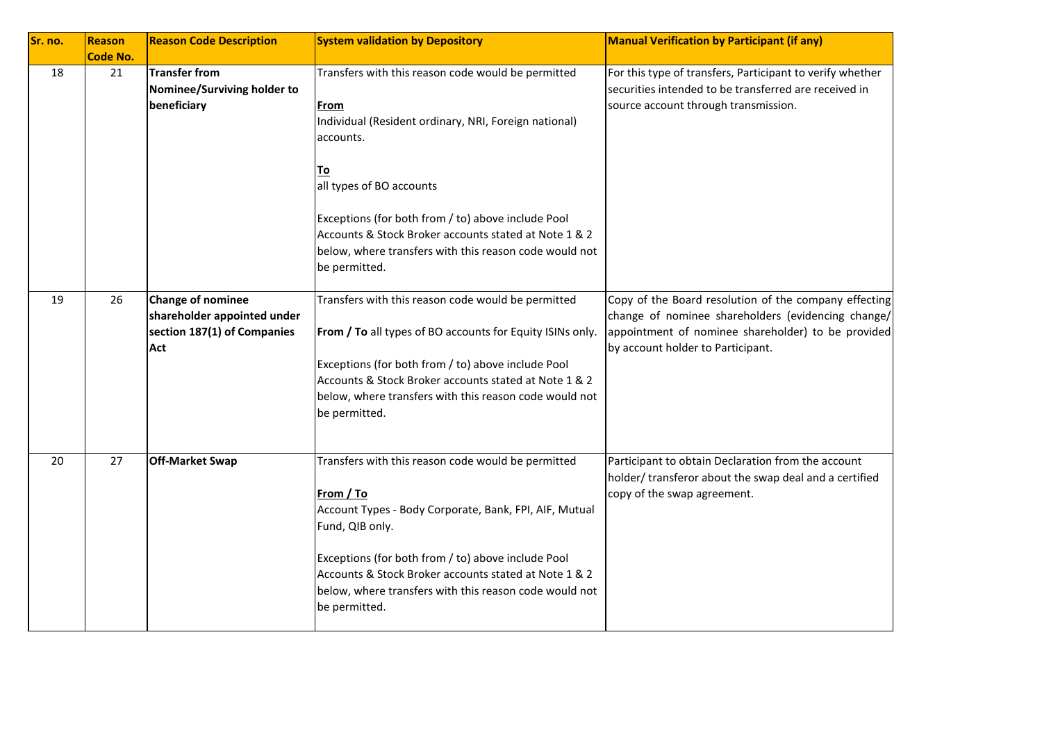| Sr. no. | Reason<br><b>Code No.</b> | <b>Reason Code Description</b>                                                                | <b>System validation by Depository</b>                                                                                                                                                                                                                                                                                                 | <b>Manual Verification by Participant (if any)</b>                                                                                                                                                     |
|---------|---------------------------|-----------------------------------------------------------------------------------------------|----------------------------------------------------------------------------------------------------------------------------------------------------------------------------------------------------------------------------------------------------------------------------------------------------------------------------------------|--------------------------------------------------------------------------------------------------------------------------------------------------------------------------------------------------------|
| 18      | 21                        | <b>Transfer from</b><br>Nominee/Surviving holder to<br>beneficiary                            | Transfers with this reason code would be permitted<br>From<br>Individual (Resident ordinary, NRI, Foreign national)<br>accounts.<br>Τo<br>all types of BO accounts                                                                                                                                                                     | For this type of transfers, Participant to verify whether<br>securities intended to be transferred are received in<br>source account through transmission.                                             |
|         |                           |                                                                                               | Exceptions (for both from / to) above include Pool<br>Accounts & Stock Broker accounts stated at Note 1 & 2<br>below, where transfers with this reason code would not<br>be permitted.                                                                                                                                                 |                                                                                                                                                                                                        |
| 19      | 26                        | <b>Change of nominee</b><br>shareholder appointed under<br>section 187(1) of Companies<br>Act | Transfers with this reason code would be permitted<br>From / To all types of BO accounts for Equity ISINs only.<br>Exceptions (for both from / to) above include Pool<br>Accounts & Stock Broker accounts stated at Note 1 & 2<br>below, where transfers with this reason code would not<br>be permitted.                              | Copy of the Board resolution of the company effecting<br>change of nominee shareholders (evidencing change/<br>appointment of nominee shareholder) to be provided<br>by account holder to Participant. |
| 20      | 27                        | <b>Off-Market Swap</b>                                                                        | Transfers with this reason code would be permitted<br>From / To<br>Account Types - Body Corporate, Bank, FPI, AIF, Mutual<br>Fund, QIB only.<br>Exceptions (for both from / to) above include Pool<br>Accounts & Stock Broker accounts stated at Note 1 & 2<br>below, where transfers with this reason code would not<br>be permitted. | Participant to obtain Declaration from the account<br>holder/transferor about the swap deal and a certified<br>copy of the swap agreement.                                                             |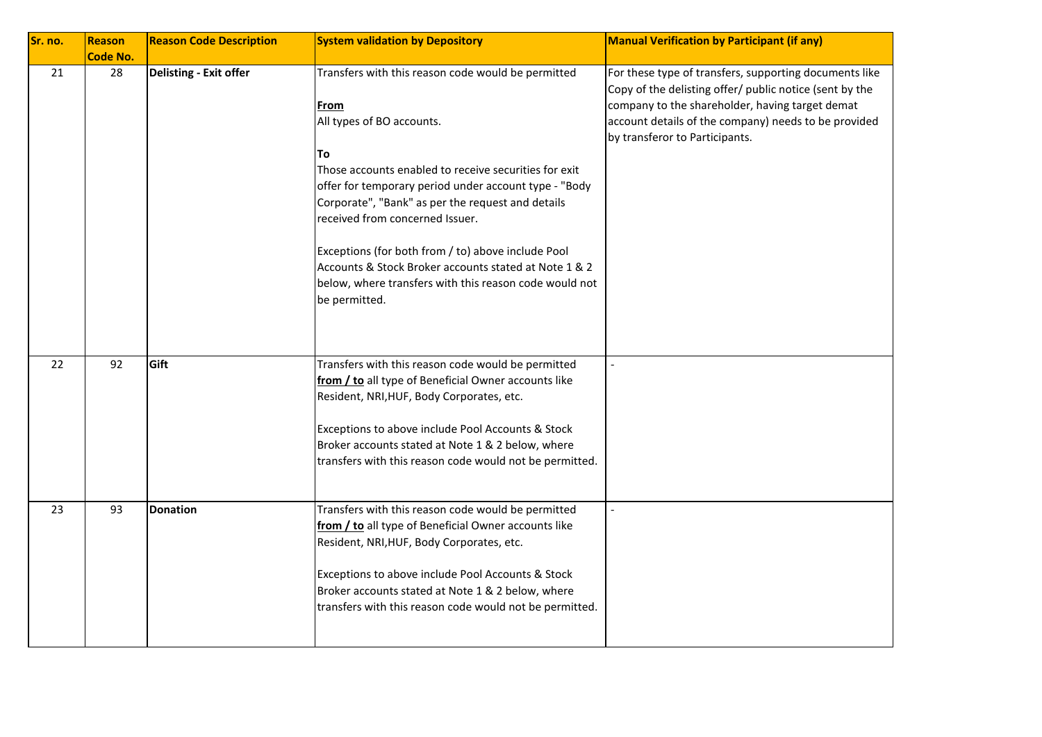| Sr. no. | Reason<br><b>Code No.</b> | <b>Reason Code Description</b> | <b>System validation by Depository</b>                                                                                                                                                                                                                                                                                                                                                                                                                                                            | <b>Manual Verification by Participant (if any)</b>                                                                                                                                                                                                             |
|---------|---------------------------|--------------------------------|---------------------------------------------------------------------------------------------------------------------------------------------------------------------------------------------------------------------------------------------------------------------------------------------------------------------------------------------------------------------------------------------------------------------------------------------------------------------------------------------------|----------------------------------------------------------------------------------------------------------------------------------------------------------------------------------------------------------------------------------------------------------------|
| 21      | 28                        | Delisting - Exit offer         | Transfers with this reason code would be permitted<br>From<br>All types of BO accounts.<br>To<br>Those accounts enabled to receive securities for exit<br>offer for temporary period under account type - "Body<br>Corporate", "Bank" as per the request and details<br>received from concerned Issuer.<br>Exceptions (for both from / to) above include Pool<br>Accounts & Stock Broker accounts stated at Note 1 & 2<br>below, where transfers with this reason code would not<br>be permitted. | For these type of transfers, supporting documents like<br>Copy of the delisting offer/ public notice (sent by the<br>company to the shareholder, having target demat<br>account details of the company) needs to be provided<br>by transferor to Participants. |
| 22      | 92                        | Gift                           | Transfers with this reason code would be permitted<br>from / to all type of Beneficial Owner accounts like<br>Resident, NRI, HUF, Body Corporates, etc.<br>Exceptions to above include Pool Accounts & Stock<br>Broker accounts stated at Note 1 & 2 below, where<br>transfers with this reason code would not be permitted.                                                                                                                                                                      | $\overline{a}$                                                                                                                                                                                                                                                 |
| 23      | 93                        | <b>Donation</b>                | Transfers with this reason code would be permitted<br>from / to all type of Beneficial Owner accounts like<br>Resident, NRI, HUF, Body Corporates, etc.<br>Exceptions to above include Pool Accounts & Stock<br>Broker accounts stated at Note 1 & 2 below, where<br>transfers with this reason code would not be permitted.                                                                                                                                                                      |                                                                                                                                                                                                                                                                |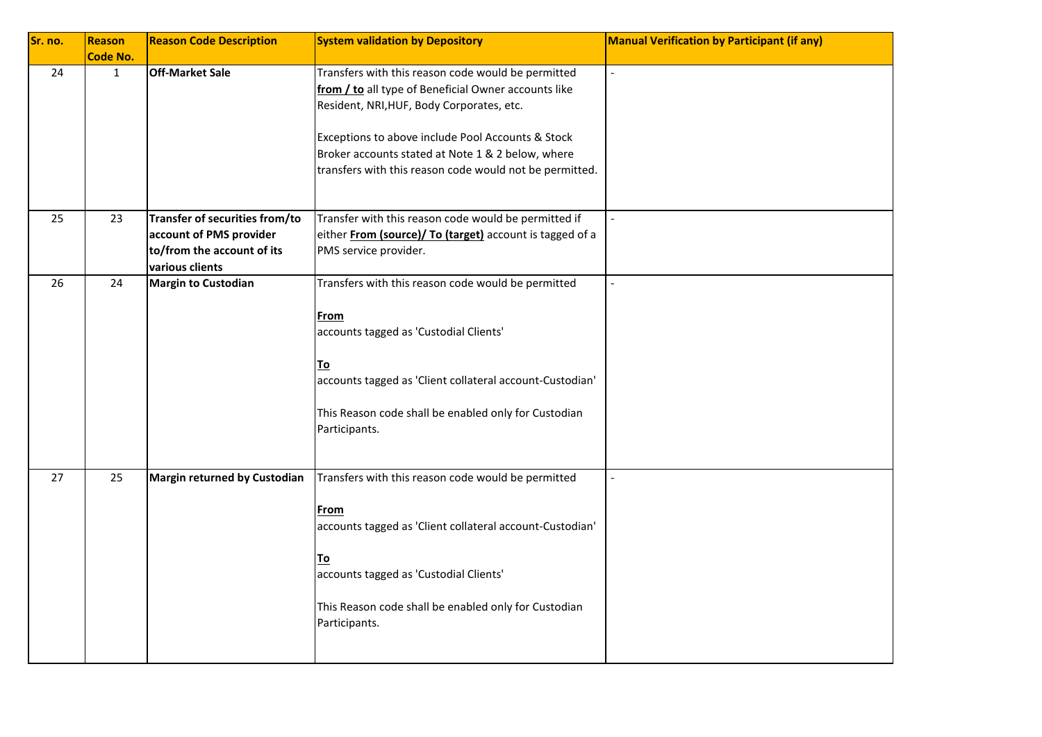| Sr. no. | Reason<br><b>Code No.</b> | <b>Reason Code Description</b>                                                                             | <b>System validation by Depository</b>                                                                                                                                                                                                                                                                                       | <b>Manual Verification by Participant (if any)</b> |
|---------|---------------------------|------------------------------------------------------------------------------------------------------------|------------------------------------------------------------------------------------------------------------------------------------------------------------------------------------------------------------------------------------------------------------------------------------------------------------------------------|----------------------------------------------------|
| 24      | $\mathbf{1}$              | <b>Off-Market Sale</b>                                                                                     | Transfers with this reason code would be permitted<br>from / to all type of Beneficial Owner accounts like<br>Resident, NRI, HUF, Body Corporates, etc.<br>Exceptions to above include Pool Accounts & Stock<br>Broker accounts stated at Note 1 & 2 below, where<br>transfers with this reason code would not be permitted. | $\equiv$                                           |
| 25      | 23                        | Transfer of securities from/to<br>account of PMS provider<br>to/from the account of its<br>various clients | Transfer with this reason code would be permitted if<br>either From (source)/ To (target) account is tagged of a<br>PMS service provider.                                                                                                                                                                                    | $\overline{\phantom{a}}$                           |
| 26      | 24                        | <b>Margin to Custodian</b>                                                                                 | Transfers with this reason code would be permitted<br><u>From</u><br>accounts tagged as 'Custodial Clients'<br>To<br>accounts tagged as 'Client collateral account-Custodian'<br>This Reason code shall be enabled only for Custodian<br>Participants.                                                                       |                                                    |
| 27      | 25                        | Margin returned by Custodian                                                                               | Transfers with this reason code would be permitted<br>From<br>accounts tagged as 'Client collateral account-Custodian'<br><u>To</u><br>accounts tagged as 'Custodial Clients'<br>This Reason code shall be enabled only for Custodian<br>Participants.                                                                       |                                                    |